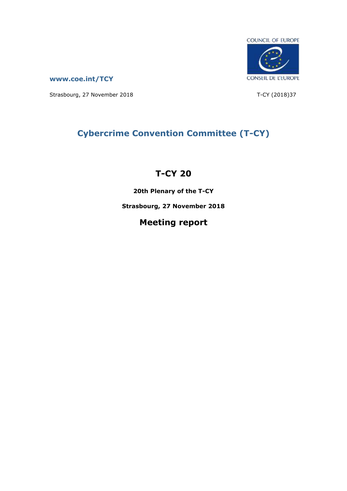

**[www.coe.int/TCY](http://www.coe.int/TCY)**

Strasbourg, 27 November 2018 T-CY (2018)37

# **Cybercrime Convention Committee (T-CY)**

# **T-CY 20**

**20th Plenary of the T-CY**

**Strasbourg, 27 November 2018**

# **Meeting report**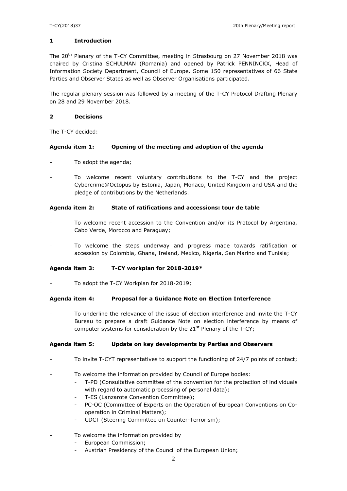#### **1 Introduction**

The 20<sup>th</sup> Plenary of the T-CY Committee, meeting in Strasbourg on 27 November 2018 was chaired by Cristina SCHULMAN (Romania) and opened by Patrick PENNINCKX, Head of Information Society Department, Council of Europe. Some 150 representatives of 66 State Parties and Observer States as well as Observer Organisations participated.

The regular plenary session was followed by a meeting of the T-CY Protocol Drafting Plenary on 28 and 29 November 2018.

#### **2 Decisions**

The T-CY decided:

#### **Agenda item 1: Opening of the meeting and adoption of the agenda**

- To adopt the agenda;
- To welcome recent voluntary contributions to the T-CY and the project Cybercrime@Octopus by Estonia, Japan, Monaco, United Kingdom and USA and the pledge of contributions by the Netherlands.

#### **Agenda item 2: State of ratifications and accessions: tour de table**

- To welcome recent accession to the Convention and/or its Protocol by Argentina, Cabo Verde, Morocco and Paraguay;
- To welcome the steps underway and progress made towards ratification or accession by Colombia, Ghana, Ireland, Mexico, Nigeria, San Marino and Tunisia;

#### **Agenda item 3: T-CY workplan for 2018-2019\***

To adopt the T-CY Workplan for 2018-2019;

#### **Agenda item 4: Proposal for a Guidance Note on Election Interference**

To underline the relevance of the issue of election interference and invite the T-CY Bureau to prepare a draft Guidance Note on election interference by means of computer systems for consideration by the  $21<sup>st</sup>$  Plenary of the T-CY;

### **Agenda item 5: Update on key developments by Parties and Observers**

- To invite T-CYT representatives to support the functioning of 24/7 points of contact;
- To welcome the information provided by Council of Europe bodies:
	- T-PD (Consultative committee of the convention for the protection of individuals with regard to automatic processing of personal data);
	- T-ES (Lanzarote Convention Committee);
	- PC-OC (Committee of Experts on the Operation of European Conventions on Cooperation in Criminal Matters);
	- CDCT (Steering Committee on Counter-Terrorism);
- To welcome the information provided by
	- European Commission;
	- Austrian Presidency of the Council of the European Union;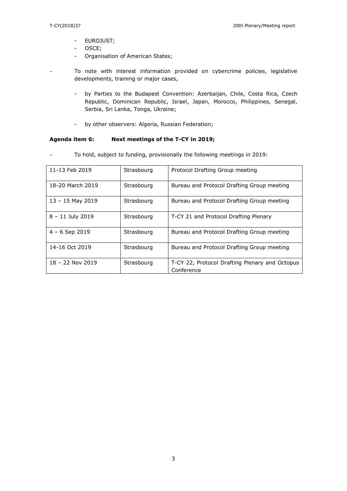- EUROJUST;
- OSCE;
- Organisation of American States;
- To note with interest information provided on cybercrime policies, legislative developments, training or major cases,
	- by Parties to the Budapest Convention: Azerbaijan, Chile, Costa Rica, Czech Republic, Dominican Republic, Israel, Japan, Morocco, Philippines, Senegal, Serbia, Sri Lanka, Tonga, Ukraine;
	- by other observers: Algeria, Russian Federation;

## **Agenda item 6: Next meetings of the T-CY in 2019;**

| 11-13 Feb 2019     | Strasbourg | Protocol Drafting Group meeting                |
|--------------------|------------|------------------------------------------------|
|                    |            |                                                |
|                    |            |                                                |
| 18-20 March 2019   | Strasbourg | Bureau and Protocol Drafting Group meeting     |
|                    |            |                                                |
|                    |            |                                                |
| $13 - 15$ May 2019 | Strasbourg | Bureau and Protocol Drafting Group meeting     |
|                    |            |                                                |
|                    |            |                                                |
| $8 - 11$ July 2019 | Strasbourg | T-CY 21 and Protocol Drafting Plenary          |
|                    |            |                                                |
|                    |            |                                                |
| $4 - 6$ Sep 2019   | Strasbourg | Bureau and Protocol Drafting Group meeting     |
|                    |            |                                                |
|                    |            |                                                |
| 14-16 Oct 2019     | Strasbourg | Bureau and Protocol Drafting Group meeting     |
|                    |            |                                                |
|                    |            |                                                |
| $18 - 22$ Nov 2019 | Strasbourg | T-CY 22, Protocol Drafting Plenary and Octopus |
|                    |            |                                                |
|                    |            | Conference                                     |

To hold, subject to funding, provisionally the following meetings in 2019: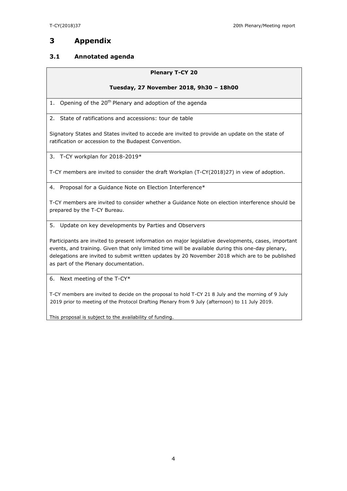## **3 Appendix**

## **3.1 Annotated agenda**

#### **Plenary T-CY 20**

#### **Tuesday, 27 November 2018, 9h30 – 18h00**

1. Opening of the  $20<sup>th</sup>$  Plenary and adoption of the agenda

2. State of ratifications and accessions: tour de table

Signatory States and States invited to accede are invited to provide an update on the state of ratification or accession to the Budapest Convention.

3. T-CY workplan for 2018-2019\*

T-CY members are invited to consider the draft Workplan (T-CY(2018)27) in view of adoption.

4. Proposal for a Guidance Note on Election Interference\*

T-CY members are invited to consider whether a Guidance Note on election interference should be prepared by the T-CY Bureau.

5. Update on key developments by Parties and Observers

Participants are invited to present information on major legislative developments, cases, important events, and training. Given that only limited time will be available during this one-day plenary, delegations are invited to submit written updates by 20 November 2018 which are to be published as part of the Plenary documentation.

6. Next meeting of the T-CY\*

T-CY members are invited to decide on the proposal to hold T-CY 21 8 July and the morning of 9 July 2019 prior to meeting of the Protocol Drafting Plenary from 9 July (afternoon) to 11 July 2019.

This proposal is subject to the availability of funding.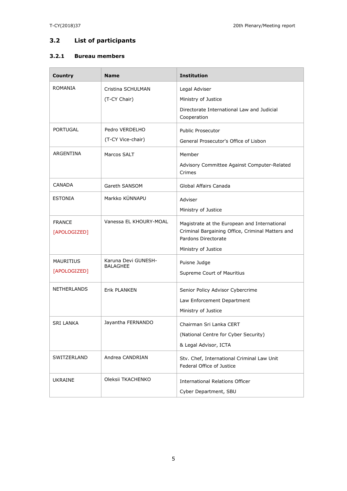## **3.2 List of participants**

#### **3.2.1 Bureau members**

| <b>Country</b>                | <b>Name</b>                            | <b>Institution</b>                                                                                                                             |
|-------------------------------|----------------------------------------|------------------------------------------------------------------------------------------------------------------------------------------------|
| ROMANIA                       | Cristina SCHULMAN<br>(T-CY Chair)      | Legal Adviser<br>Ministry of Justice<br>Directorate International Law and Judicial<br>Cooperation                                              |
| <b>PORTUGAL</b>               | Pedro VERDELHO<br>(T-CY Vice-chair)    | <b>Public Prosecutor</b><br>General Prosecutor's Office of Lisbon                                                                              |
| ARGENTINA                     | Marcos SALT                            | Member<br>Advisory Committee Against Computer-Related<br>Crimes                                                                                |
| CANADA                        | Gareth SANSOM                          | Global Affairs Canada                                                                                                                          |
| <b>ESTONIA</b>                | Markko KÜNNAPU                         | Adviser<br>Ministry of Justice                                                                                                                 |
| <b>FRANCE</b><br>[APOLOGIZED] | Vanessa EL KHOURY-MOAL                 | Magistrate at the European and International<br>Criminal Bargaining Office, Criminal Matters and<br>Pardons Directorate<br>Ministry of Justice |
| MAURITIUS<br>[APOLOGIZED]     | Karuna Devi GUNESH-<br><b>BALAGHEE</b> | Puisne Judge<br>Supreme Court of Mauritius                                                                                                     |
| <b>NETHERLANDS</b>            | Erik PLANKEN                           | Senior Policy Advisor Cybercrime<br>Law Enforcement Department<br>Ministry of Justice                                                          |
| <b>SRI LANKA</b>              | Jayantha FERNANDO                      | Chairman Sri Lanka CERT<br>(National Centre for Cyber Security)<br>& Legal Advisor, ICTA                                                       |
| SWITZERLAND                   | Andrea CANDRIAN                        | Stv. Chef, International Criminal Law Unit<br>Federal Office of Justice                                                                        |
| <b>UKRAINE</b>                | Oleksii TKACHENKO                      | <b>International Relations Officer</b><br>Cyber Department, SBU                                                                                |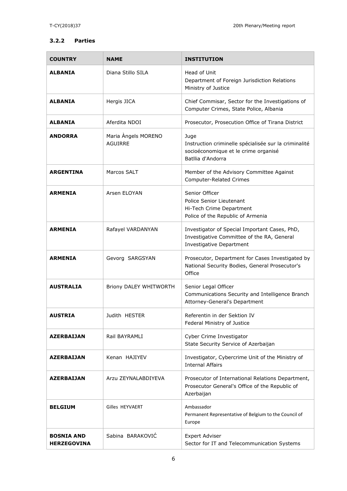#### **3.2.2 Parties**

| <b>COUNTRY</b>                          | <b>NAME</b>                           | <b>INSTITUTION</b>                                                                                                             |
|-----------------------------------------|---------------------------------------|--------------------------------------------------------------------------------------------------------------------------------|
| <b>ALBANIA</b>                          | Diana Stillo SILA                     | Head of Unit<br>Department of Foreign Jurisdiction Relations<br>Ministry of Justice                                            |
| <b>ALBANIA</b>                          | Hergis JICA                           | Chief Commisar, Sector for the Investigations of<br>Computer Crimes, State Police, Albania                                     |
| <b>ALBANIA</b>                          | Aferdita NDOI                         | Prosecutor, Prosecution Office of Tirana District                                                                              |
| <b>ANDORRA</b>                          | Maria Angels MORENO<br><b>AGUIRRE</b> | Juge<br>Instruction criminelle spécialisée sur la criminalité<br>socioéconomique et le crime organisé<br>Batllia d'Andorra     |
| <b>ARGENTINA</b>                        | Marcos SALT                           | Member of the Advisory Committee Against<br><b>Computer-Related Crimes</b>                                                     |
| <b>ARMENIA</b>                          | Arsen ELOYAN                          | Senior Officer<br>Police Senior Lieutenant<br>Hi-Tech Crime Department<br>Police of the Republic of Armenia                    |
| <b>ARMENIA</b>                          | Rafayel VARDANYAN                     | Investigator of Special Important Cases, PhD,<br>Investigative Committee of the RA, General<br><b>Investigative Department</b> |
| <b>ARMENIA</b>                          | Gevorg SARGSYAN                       | Prosecutor, Department for Cases Investigated by<br>National Security Bodies, General Prosecutor's<br>Office                   |
| AUSTRALIA                               | Briony DALEY WHITWORTH                | Senior Legal Officer<br>Communications Security and Intelligence Branch<br>Attorney-General's Department                       |
| AUSTRIA                                 | Judith HESTER                         | Referentin in der Sektion IV<br>Federal Ministry of Justice                                                                    |
| <b>AZERBAIJAN</b>                       | Rail BAYRAMLI                         | Cyber Crime Investigator<br>State Security Service of Azerbaijan                                                               |
| <b>AZERBAIJAN</b>                       | Kenan HAJIYEV                         | Investigator, Cybercrime Unit of the Ministry of<br><b>Internal Affairs</b>                                                    |
| <b>AZERBAIJAN</b>                       | Arzu ZEYNALABDIYEVA                   | Prosecutor of International Relations Department,<br>Prosecutor General's Office of the Republic of<br>Azerbaijan              |
| <b>BELGIUM</b>                          | Gilles HEYVAERT                       | Ambassador<br>Permanent Representative of Belgium to the Council of<br>Europe                                                  |
| <b>BOSNIA AND</b><br><b>HERZEGOVINA</b> | Sabina BARAKOVIĆ                      | <b>Expert Adviser</b><br>Sector for IT and Telecommunication Systems                                                           |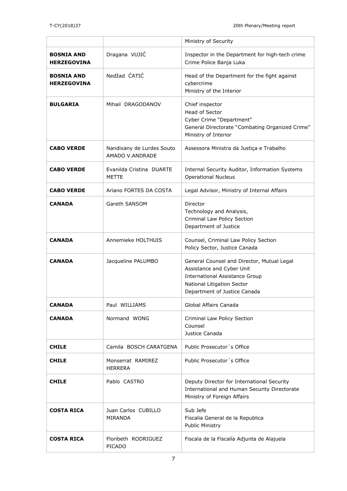|                                         |                                              | Ministry of Security                                                                                                                                                           |
|-----------------------------------------|----------------------------------------------|--------------------------------------------------------------------------------------------------------------------------------------------------------------------------------|
| <b>BOSNIA AND</b><br><b>HERZEGOVINA</b> | Dragana VUJIĆ                                | Inspector in the Department for high-tech crime<br>Crime Police Banja Luka                                                                                                     |
| <b>BOSNIA AND</b><br><b>HERZEGOVINA</b> | Nedžad ĆATIĆ                                 | Head of the Department for the fight against<br>cybercrime<br>Ministry of the Interior                                                                                         |
| <b>BULGARIA</b>                         | Mihail DRAGODANOV                            | Chief inspector<br><b>Head of Sector</b><br>Cyber Crime "Department"<br>General Directorate "Combating Organized Crime"<br>Ministry of Interior                                |
| <b>CABO VERDE</b>                       | Nandixany de Lurdes Souto<br>AMADO V.ANDRADE | Assessora Ministra da Justiça e Trabalho                                                                                                                                       |
| <b>CABO VERDE</b>                       | Evanilda Cristina DUARTE<br>METTE            | Internal Security Auditor, Information Systems<br><b>Operational Nucleus</b>                                                                                                   |
| <b>CABO VERDE</b>                       | Ariano FORTES DA COSTA                       | Legal Advisor, Ministry of Internal Affairs                                                                                                                                    |
| <b>CANADA</b>                           | Gareth SANSOM                                | Director<br>Technology and Analysis,<br>Criminal Law Policy Section<br>Department of Justice                                                                                   |
| <b>CANADA</b>                           | Annemieke HOLTHUIS                           | Counsel, Criminal Law Policy Section<br>Policy Sector, Justice Canada                                                                                                          |
| <b>CANADA</b>                           | Jacqueline PALUMBO                           | General Counsel and Director, Mutual Legal<br>Assistance and Cyber Unit<br><b>International Assistance Group</b><br>National Litigation Sector<br>Department of Justice Canada |
| <b>CANADA</b>                           | Paul WILLIAMS                                | Global Affairs Canada                                                                                                                                                          |
| <b>CANADA</b>                           | Normand WONG                                 | Criminal Law Policy Section<br>Counsel<br>Justice Canada                                                                                                                       |
| <b>CHILE</b>                            | Camila BOSCH CARATGENA                       | Public Prosecutor's Office                                                                                                                                                     |
| <b>CHILE</b>                            | Monserrat RAMIREZ<br><b>HERRERA</b>          | Public Prosecutor's Office                                                                                                                                                     |
| <b>CHILE</b>                            | Pablo CASTRO                                 | Deputy Director for International Security<br>International and Human Security Directorate<br>Ministry of Foreign Affairs                                                      |
| COSTA RICA                              | Juan Carlos CUBILLO<br><b>MIRANDA</b>        | Sub Jefe<br>Fiscalia General de la Republica<br>Public Ministry                                                                                                                |
| <b>COSTA RICA</b>                       | Floribeth RODRIGUEZ<br>PICADO                | Fiscala de la Fiscalía Adjunta de Alajuela                                                                                                                                     |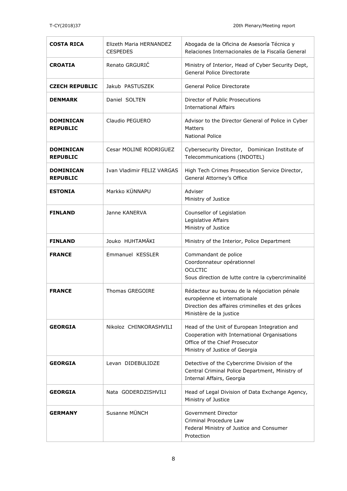| <b>COSTA RICA</b>                   | Elizeth Maria HERNANDEZ<br><b>CESPEDES</b> | Abogada de la Oficina de Asesoría Técnica y<br>Relaciones Internacionales de la Fiscalía General                                                                 |
|-------------------------------------|--------------------------------------------|------------------------------------------------------------------------------------------------------------------------------------------------------------------|
| <b>CROATIA</b>                      | Renato GRGURIĆ                             | Ministry of Interior, Head of Cyber Security Dept,<br>General Police Directorate                                                                                 |
| <b>CZECH REPUBLIC</b>               | Jakub PASTUSZEK                            | General Police Directorate                                                                                                                                       |
| <b>DENMARK</b>                      | Daniel SOLTEN                              | Director of Public Prosecutions<br><b>International Affairs</b>                                                                                                  |
| DOMINICAN<br><b>REPUBLIC</b>        | Claudio PEGUERO                            | Advisor to the Director General of Police in Cyber<br><b>Matters</b><br>National Police                                                                          |
| <b>DOMINICAN</b><br><b>REPUBLIC</b> | Cesar MOLINE RODRIGUEZ                     | Cybersecurity Director, Dominican Institute of<br>Telecommunications (INDOTEL)                                                                                   |
| <b>DOMINICAN</b><br><b>REPUBLIC</b> | Ivan Vladimir FELIZ VARGAS                 | High Tech Crimes Prosecution Service Director,<br>General Attorney's Office                                                                                      |
| <b>ESTONIA</b>                      | Markko KÜNNAPU                             | Adviser<br>Ministry of Justice                                                                                                                                   |
| <b>FINLAND</b>                      | Janne KANERVA                              | Counsellor of Legislation<br>Legislative Affairs<br>Ministry of Justice                                                                                          |
| <b>FINLAND</b>                      | Jouko HUHTAMÄKI                            | Ministry of the Interior, Police Department                                                                                                                      |
| <b>FRANCE</b>                       | Emmanuel KESSLER                           | Commandant de police<br>Coordonnateur opérationnel<br><b>OCLCTIC</b><br>Sous direction de lutte contre la cybercriminalité                                       |
| <b>FRANCE</b>                       | <b>Thomas GREGOIRE</b>                     | Rédacteur au bureau de la négociation pénale<br>européenne et internationale<br>Direction des affaires criminelles et des grâces<br>Ministère de la justice      |
| <b>GEORGIA</b>                      | Nikoloz CHINKORASHVILI                     | Head of the Unit of European Integration and<br>Cooperation with International Organisations<br>Office of the Chief Prosecutor<br>Ministry of Justice of Georgia |
| <b>GEORGIA</b>                      | Levan DIDEBULIDZE                          | Detective of the Cybercrime Division of the<br>Central Criminal Police Department, Ministry of<br>Internal Affairs, Georgia                                      |
| <b>GEORGIA</b>                      | Nata GODERDZISHVILI                        | Head of Legal Division of Data Exchange Agency,<br>Ministry of Justice                                                                                           |
| <b>GERMANY</b>                      | Susanne MÜNCH                              | Government Director<br>Criminal Procedure Law<br>Federal Ministry of Justice and Consumer<br>Protection                                                          |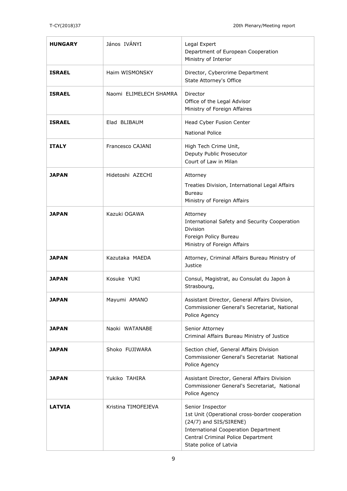| <b>HUNGARY</b> | János IVÁNYI           | Legal Expert<br>Department of European Cooperation<br>Ministry of Interior                                                                                                                                  |
|----------------|------------------------|-------------------------------------------------------------------------------------------------------------------------------------------------------------------------------------------------------------|
| <b>ISRAEL</b>  | Haim WISMONSKY         | Director, Cybercrime Department<br>State Attorney's Office                                                                                                                                                  |
| <b>ISRAEL</b>  | Naomi FLIMELECH SHAMRA | Director<br>Office of the Legal Advisor<br>Ministry of Foreign Affaires                                                                                                                                     |
| <b>ISRAEL</b>  | Elad BLIBAUM           | Head Cyber Fusion Center<br><b>National Police</b>                                                                                                                                                          |
| <b>ITALY</b>   | Francesco CAJANI       | High Tech Crime Unit,<br>Deputy Public Prosecutor<br>Court of Law in Milan                                                                                                                                  |
| <b>JAPAN</b>   | Hidetoshi AZECHI       | Attorney<br>Treaties Division, International Legal Affairs<br>Bureau<br>Ministry of Foreign Affairs                                                                                                         |
| <b>JAPAN</b>   | Kazuki OGAWA           | Attorney<br>International Safety and Security Cooperation<br><b>Division</b><br>Foreign Policy Bureau<br>Ministry of Foreign Affairs                                                                        |
| <b>JAPAN</b>   | Kazutaka MAEDA         | Attorney, Criminal Affairs Bureau Ministry of<br>Justice                                                                                                                                                    |
| <b>JAPAN</b>   | Kosuke YUKI            | Consul, Magistrat, au Consulat du Japon à<br>Strasbourg,                                                                                                                                                    |
| <b>JAPAN</b>   | Mayumi AMANO           | Assistant Director, General Affairs Division,<br>Commissioner General's Secretariat, National<br>Police Agency                                                                                              |
| <b>JAPAN</b>   | Naoki WATANABE         | Senior Attorney<br>Criminal Affairs Bureau Ministry of Justice                                                                                                                                              |
| <b>JAPAN</b>   | Shoko FUJIWARA         | Section chief, General Affairs Division<br>Commissioner General's Secretariat National<br>Police Agency                                                                                                     |
| <b>JAPAN</b>   | Yukiko TAHIRA          | Assistant Director, General Affairs Division<br>Commissioner General's Secretariat, National<br>Police Agency                                                                                               |
| <b>LATVIA</b>  | Kristina TIMOFEJEVA    | Senior Inspector<br>1st Unit (Operational cross-border cooperation<br>(24/7) and SIS/SIRENE)<br><b>International Cooperation Department</b><br>Central Criminal Police Department<br>State police of Latvia |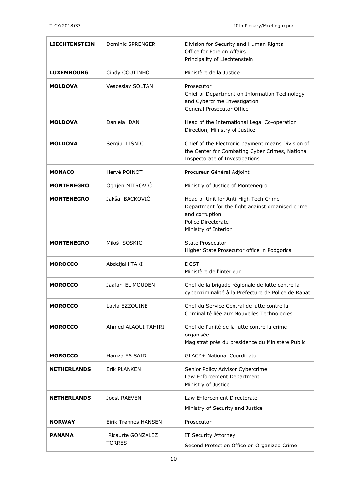| <b>LIECHTENSTEIN</b> | <b>Dominic SPRENGER</b>            | Division for Security and Human Rights<br>Office for Foreign Affairs<br>Principality of Liechtenstein                                                     |
|----------------------|------------------------------------|-----------------------------------------------------------------------------------------------------------------------------------------------------------|
| <b>LUXEMBOURG</b>    | Cindy COUTINHO                     | Ministère de la Justice                                                                                                                                   |
| <b>MOLDOVA</b>       | <b>Veaceslav SOLTAN</b>            | Prosecutor<br>Chief of Department on Information Technology<br>and Cybercrime Investigation<br><b>General Prosecutor Office</b>                           |
| <b>MOLDOVA</b>       | Daniela DAN                        | Head of the International Legal Co-operation<br>Direction, Ministry of Justice                                                                            |
| <b>MOLDOVA</b>       | Sergiu LISNIC                      | Chief of the Electronic payment means Division of<br>the Center for Combating Cyber Crimes, National<br>Inspectorate of Investigations                    |
| <b>MONACO</b>        | Hervé POINOT                       | Procureur Général Adjoint                                                                                                                                 |
| <b>MONTENEGRO</b>    | Ognjen MITROVIĆ                    | Ministry of Justice of Montenegro                                                                                                                         |
| <b>MONTENEGRO</b>    | Jakša BACKOVIĆ                     | Head of Unit for Anti-High Tech Crime<br>Department for the fight against organised crime<br>and corruption<br>Police Directorate<br>Ministry of Interior |
| <b>MONTENEGRO</b>    | Miloš SOSKIC                       | <b>State Prosecutor</b><br>Higher State Prosecutor office in Podgorica                                                                                    |
| <b>MOROCCO</b>       | Abdeljalil TAKI                    | <b>DGST</b><br>Ministère de l'intérieur                                                                                                                   |
| <b>MOROCCO</b>       | Jaafar EL MOUDEN                   | Chef de la brigade régionale de lutte contre la<br>cybercriminalité à la Préfecture de Police de Rabat                                                    |
| <b>MOROCCO</b>       | Layla EZZOUINE                     | Chef du Service Central de lutte contre la<br>Criminalité liée aux Nouvelles Technologies                                                                 |
| <b>MOROCCO</b>       | Ahmed ALAOUI TAHIRI                | Chef de l'unité de la lutte contre la crime<br>organisée<br>Magistrat près du présidence du Ministère Public                                              |
| <b>MOROCCO</b>       | Hamza ES SAID                      | GLACY+ National Coordinator                                                                                                                               |
| <b>NETHERLANDS</b>   | <b>Erik PLANKEN</b>                | Senior Policy Advisor Cybercrime<br>Law Enforcement Department<br>Ministry of Justice                                                                     |
| <b>NETHERLANDS</b>   | Joost RAEVEN                       | Law Enforcement Directorate<br>Ministry of Security and Justice                                                                                           |
| <b>NORWAY</b>        | Eirik Trønnes HANSEN               | Prosecutor                                                                                                                                                |
| PANAMA               | Ricaurte GONZALEZ<br><b>TORRES</b> | IT Security Attorney<br>Second Protection Office on Organized Crime                                                                                       |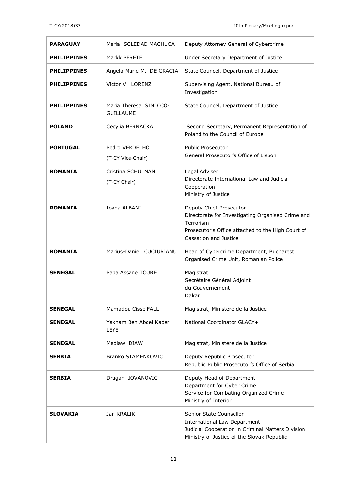| <b>PARAGUAY</b>    | Maria SOLEDAD MACHUCA                      | Deputy Attorney General of Cybercrime                                                                                                                                   |
|--------------------|--------------------------------------------|-------------------------------------------------------------------------------------------------------------------------------------------------------------------------|
| <b>PHILIPPINES</b> | Markk PERETE                               | Under Secretary Department of Justice                                                                                                                                   |
| <b>PHILIPPINES</b> | Angela Marie M. DE GRACIA                  | State Councel, Department of Justice                                                                                                                                    |
| <b>PHILIPPINES</b> | Victor V. LORENZ                           | Supervising Agent, National Bureau of<br>Investigation                                                                                                                  |
| <b>PHILIPPINES</b> | Maria Theresa SINDICO-<br><b>GUILLAUME</b> | State Councel, Department of Justice                                                                                                                                    |
| <b>POLAND</b>      | Cecylia BERNACKA                           | Second Secretary, Permanent Representation of<br>Poland to the Council of Europe                                                                                        |
| <b>PORTUGAL</b>    | Pedro VERDELHO<br>(T-CY Vice-Chair)        | <b>Public Prosecutor</b><br>General Prosecutor's Office of Lisbon                                                                                                       |
| <b>ROMANIA</b>     | Cristina SCHULMAN<br>(T-CY Chair)          | Legal Adviser<br>Directorate International Law and Judicial<br>Cooperation<br>Ministry of Justice                                                                       |
| <b>ROMANIA</b>     | Ioana ALBANI                               | Deputy Chief-Prosecutor<br>Directorate for Investigating Organised Crime and<br>Terrorism<br>Prosecutor's Office attached to the High Court of<br>Cassation and Justice |
| <b>ROMANIA</b>     | Marius-Daniel CUCIURIANU                   | Head of Cybercrime Department, Bucharest<br>Organised Crime Unit, Romanian Police                                                                                       |
| <b>SENEGAL</b>     | Papa Assane TOURE                          | Magistrat<br>Secrétaire Général Adjoint<br>du Gouvernement<br>Dakar                                                                                                     |
| <b>SENEGAL</b>     | Mamadou Cisse FALL                         | Magistrat, Ministere de la Justice                                                                                                                                      |
| SENEGAL            | Yakham Ben Abdel Kader<br>LEYE             | National Coordinator GLACY+                                                                                                                                             |
| <b>SENEGAL</b>     | Madiaw DIAW                                | Magistrat, Ministere de la Justice                                                                                                                                      |
| <b>SERBIA</b>      | <b>Branko STAMENKOVIC</b>                  | Deputy Republic Prosecutor<br>Republic Public Prosecutor's Office of Serbia                                                                                             |
| <b>SERBIA</b>      | Dragan JOVANOVIC                           | Deputy Head of Department<br>Department for Cyber Crime<br>Service for Combating Organized Crime<br>Ministry of Interior                                                |
| <b>SLOVAKIA</b>    | Jan KRALIK                                 | Senior State Counsellor<br><b>International Law Department</b><br>Judicial Cooperation in Criminal Matters Division<br>Ministry of Justice of the Slovak Republic       |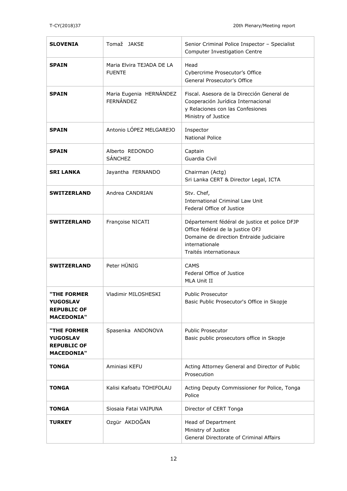| <b>SLOVENIA</b>                                                           | Tomaž JAKSE                                 | Senior Criminal Police Inspector - Specialist<br><b>Computer Investigation Centre</b>                                                                                     |
|---------------------------------------------------------------------------|---------------------------------------------|---------------------------------------------------------------------------------------------------------------------------------------------------------------------------|
| <b>SPAIN</b>                                                              | Maria Elvira TEJADA DE LA<br><b>FUENTE</b>  | Head<br>Cybercrime Prosecutor's Office<br>General Prosecutor's Office                                                                                                     |
| <b>SPAIN</b>                                                              | Maria Eugenia HERNÁNDEZ<br><b>FERNÁNDEZ</b> | Fiscal, Asesora de la Dirección General de<br>Cooperación Jurídica Internacional<br>y Relaciones con las Confesiones<br>Ministry of Justice                               |
| <b>SPAIN</b>                                                              | Antonio LÓPEZ MELGAREJO                     | Inspector<br><b>National Police</b>                                                                                                                                       |
| <b>SPAIN</b>                                                              | Alberto REDONDO<br><b>SÁNCHEZ</b>           | Captain<br>Guardia Civil                                                                                                                                                  |
| <b>SRI LANKA</b>                                                          | Jayantha FERNANDO                           | Chairman (Actg)<br>Sri Lanka CERT & Director Legal, ICTA                                                                                                                  |
| <b>SWITZERLAND</b>                                                        | Andrea CANDRIAN                             | Stv. Chef,<br><b>International Criminal Law Unit</b><br>Federal Office of Justice                                                                                         |
| <b>SWITZERLAND</b>                                                        | Françoise NICATI                            | Département fédéral de justice et police DFJP<br>Office fédéral de la justice OFJ<br>Domaine de direction Entraide judiciaire<br>internationale<br>Traités internationaux |
| <b>SWITZERLAND</b>                                                        | Peter HÜNIG                                 | <b>CAMS</b><br>Federal Office of Justice<br>MLA Unit II                                                                                                                   |
| "THE FORMER<br><b>YUGOSLAV</b><br><b>REPUBLIC OF</b><br><b>MACEDONIA"</b> | Vladimir MILOSHESKI                         | <b>Public Prosecutor</b><br>Basic Public Prosecutor's Office in Skopje                                                                                                    |
| "THE FORMER<br>YUGOSLAV<br><b>REPUBLIC OF</b><br><b>MACEDONIA"</b>        | Spasenka ANDONOVA                           | <b>Public Prosecutor</b><br>Basic public prosecutors office in Skopje                                                                                                     |
| <b>TONGA</b>                                                              | Aminiasi KEFU                               | Acting Attorney General and Director of Public<br>Prosecution                                                                                                             |
| <b>TONGA</b>                                                              | Kalisi Kafoatu TOHIFOLAU                    | Acting Deputy Commissioner for Police, Tonga<br>Police                                                                                                                    |
| TONGA                                                                     | Siosaia Fatai VAIPUNA                       | Director of CERT Tonga                                                                                                                                                    |
| TURKEY                                                                    | Ozgür AKDOĞAN                               | Head of Department<br>Ministry of Justice<br>General Directorate of Criminal Affairs                                                                                      |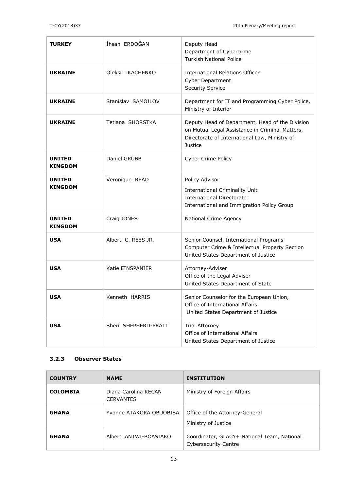| <b>TURKEY</b>                   | İhsan ERDOĞAN        | Deputy Head<br>Department of Cybercrime<br><b>Turkish National Police</b>                                                                                      |
|---------------------------------|----------------------|----------------------------------------------------------------------------------------------------------------------------------------------------------------|
| <b>UKRAINE</b>                  | Oleksii TKACHENKO    | <b>International Relations Officer</b><br><b>Cyber Department</b><br><b>Security Service</b>                                                                   |
| <b>UKRAINE</b>                  | Stanislav SAMOILOV   | Department for IT and Programming Cyber Police,<br>Ministry of Interior                                                                                        |
| <b>UKRAINE</b>                  | Tetiana SHORSTKA     | Deputy Head of Department, Head of the Division<br>on Mutual Legal Assistance in Criminal Matters,<br>Directorate of International Law, Ministry of<br>Justice |
| <b>UNITED</b><br>KINGDOM        | Daniel GRUBB         | <b>Cyber Crime Policy</b>                                                                                                                                      |
| UNITED<br><b>KINGDOM</b>        | Veronique READ       | Policy Advisor<br><b>International Criminality Unit</b><br><b>International Directorate</b><br>International and Immigration Policy Group                      |
| <b>UNITED</b><br><b>KINGDOM</b> | Craig JONES          | National Crime Agency                                                                                                                                          |
| <b>USA</b>                      | Albert C. REES JR.   | Senior Counsel, International Programs<br>Computer Crime & Intellectual Property Section<br>United States Department of Justice                                |
| <b>USA</b>                      | Katie EINSPANIER     | Attorney-Adviser<br>Office of the Legal Adviser<br>United States Department of State                                                                           |
| <b>USA</b>                      | Kenneth HARRIS       | Senior Counselor for the European Union,<br>Office of International Affairs<br>United States Department of Justice                                             |
| <b>USA</b>                      | Sheri SHEPHERD-PRATT | <b>Trial Attorney</b><br>Office of International Affairs<br>United States Department of Justice                                                                |

### **3.2.3 Observer States**

| <b>COUNTRY</b>  | <b>NAME</b>                              | <b>INSTITUTION</b>                                                         |
|-----------------|------------------------------------------|----------------------------------------------------------------------------|
| <b>COLOMBIA</b> | Diana Carolina KECAN<br><b>CERVANTES</b> | Ministry of Foreign Affairs                                                |
| <b>GHANA</b>    | Yvonne ATAKORA OBUOBISA                  | Office of the Attorney-General<br>Ministry of Justice                      |
| <b>GHANA</b>    | Albert ANTWI-BOASIAKO                    | Coordinator, GLACY+ National Team, National<br><b>Cybersecurity Centre</b> |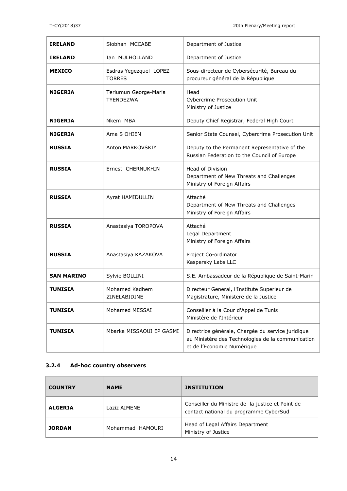| <b>IRELAND</b>    | Siobhan MCCABE                            | Department of Justice                                                                                                                |
|-------------------|-------------------------------------------|--------------------------------------------------------------------------------------------------------------------------------------|
| <b>IRELAND</b>    | Ian MULHOLLAND                            | Department of Justice                                                                                                                |
| <b>MEXICO</b>     | Esdras Yegezquel LOPEZ<br><b>TORRES</b>   | Sous-directeur de Cybersécurité, Bureau du<br>procureur général de la République                                                     |
| <b>NIGERIA</b>    | Terlumun George-Maria<br><b>TYENDEZWA</b> | Head<br><b>Cybercrime Prosecution Unit</b><br>Ministry of Justice                                                                    |
| <b>NIGERIA</b>    | Nkem MBA                                  | Deputy Chief Registrar, Federal High Court                                                                                           |
| <b>NIGERIA</b>    | Ama S OHIEN                               | Senior State Counsel, Cybercrime Prosecution Unit                                                                                    |
| <b>RUSSIA</b>     | Anton MARKOVSKIY                          | Deputy to the Permanent Representative of the<br>Russian Federation to the Council of Europe                                         |
| <b>RUSSIA</b>     | Ernest CHERNUKHIN                         | Head of Division<br>Department of New Threats and Challenges<br>Ministry of Foreign Affairs                                          |
| <b>RUSSIA</b>     | Ayrat HAMIDULLIN                          | Attaché<br>Department of New Threats and Challenges<br>Ministry of Foreign Affairs                                                   |
| <b>RUSSIA</b>     | Anastasiya TOROPOVA                       | Attaché<br>Legal Department<br>Ministry of Foreign Affairs                                                                           |
| <b>RUSSIA</b>     | Anastasiya KAZAKOVA                       | Project Co-ordinator<br>Kaspersky Labs LLC                                                                                           |
| <b>SAN MARINO</b> | Sylvie BOLLINI                            | S.E. Ambassadeur de la République de Saint-Marin                                                                                     |
| TUNISIA           | Mohamed Kadhem<br>ZINELABIDINE            | Directeur General, l'Institute Superieur de<br>Magistrature, Ministere de la Justice                                                 |
| <b>TUNISIA</b>    | Mohamed MESSAI                            | Conseiller à la Cour d'Appel de Tunis<br>Ministère de l'Intérieur                                                                    |
| <b>TUNISIA</b>    | Mbarka MISSAOUI EP GASMI                  | Directrice générale, Chargée du service juridique<br>au Ministère des Technologies de la communication<br>et de l'Economie Numérique |

#### **3.2.4 Ad-hoc country observers**

| <b>COUNTRY</b> | <b>NAME</b>      | <b>INSTITUTION</b>                                                                         |
|----------------|------------------|--------------------------------------------------------------------------------------------|
| <b>ALGERIA</b> | Laziz AIMENE     | Conseiller du Ministre de la justice et Point de<br>contact national du programme CyberSud |
| <b>JORDAN</b>  | Mohammad HAMOURI | Head of Legal Affairs Department<br>Ministry of Justice                                    |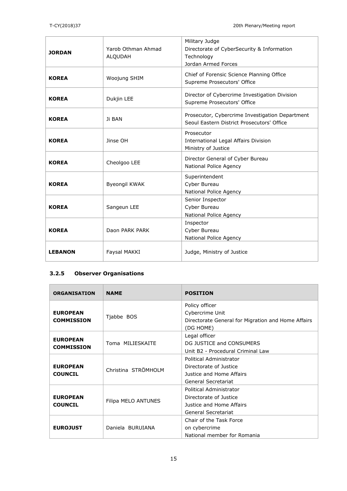| <b>JORDAN</b>  | Yarob Othman Ahmad<br><b>ALQUDAH</b> | Military Judge<br>Directorate of CyberSecurity & Information<br>Technology<br>Jordan Armed Forces |
|----------------|--------------------------------------|---------------------------------------------------------------------------------------------------|
| <b>KOREA</b>   | <b>Woojung SHIM</b>                  | Chief of Forensic Science Planning Office<br>Supreme Prosecutors' Office                          |
| <b>KOREA</b>   | Dukjin LEE                           | Director of Cybercrime Investigation Division<br>Supreme Prosecutors' Office                      |
| <b>KOREA</b>   | Ji BAN                               | Prosecutor, Cybercrime Investigation Department<br>Seoul Eastern District Prosecutors' Office     |
| <b>KOREA</b>   | Jinse OH                             | Prosecutor<br>International Legal Affairs Division<br>Ministry of Justice                         |
| <b>KOREA</b>   | Cheolgoo LEE                         | Director General of Cyber Bureau<br>National Police Agency                                        |
| <b>KOREA</b>   | <b>Byeongil KWAK</b>                 | Superintendent<br>Cyber Bureau<br>National Police Agency                                          |
| <b>KOREA</b>   | Sangeun LEE                          | Senior Inspector<br>Cyber Bureau<br>National Police Agency                                        |
| <b>KOREA</b>   | Daon PARK PARK                       | Inspector<br>Cyber Bureau<br>National Police Agency                                               |
| <b>LEBANON</b> | Faysal MAKKI                         | Judge, Ministry of Justice                                                                        |

#### **3.2.5 Observer Organisations**

| <b>ORGANISATION</b>                  | <b>NAME</b>         | <b>POSITION</b>                                                                                      |
|--------------------------------------|---------------------|------------------------------------------------------------------------------------------------------|
| <b>EUROPEAN</b><br><b>COMMISSION</b> | Tjabbe BOS          | Policy officer<br>Cybercrime Unit<br>Directorate General for Migration and Home Affairs<br>(DG HOME) |
| <b>EUROPEAN</b><br><b>COMMISSION</b> | Toma MILIESKAITE    | Legal officer<br>DG JUSTICE and CONSUMERS<br>Unit B2 - Procedural Criminal Law                       |
| <b>EUROPEAN</b><br><b>COUNCIL</b>    | Christina STRÖMHOLM | Political Administrator<br>Directorate of Justice<br>Justice and Home Affairs<br>General Secretariat |
| <b>EUROPEAN</b><br><b>COUNCIL</b>    | Filipa MELO ANTUNES | Political Administrator<br>Directorate of Justice<br>Justice and Home Affairs<br>General Secretariat |
| <b>EUROJUST</b>                      | Daniela BURUIANA    | Chair of the Task Force<br>on cybercrime<br>National member for Romania                              |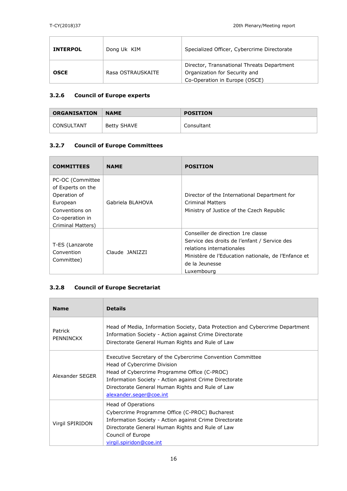Ĥ,

 $\overline{\Gamma}$ 

| <b>INTERPOL</b> | Dong Uk KIM       | Specialized Officer, Cybercrime Directorate                                                                  |
|-----------------|-------------------|--------------------------------------------------------------------------------------------------------------|
| <b>OSCE</b>     | Rasa OSTRAUSKAITE | Director, Transnational Threats Department<br>Organization for Security and<br>Co-Operation in Europe (OSCE) |

#### **3.2.6 Council of Europe experts**

 $\overline{\phantom{a}}$ 

| <b>ORGANISATION</b> | <b>NAME</b> | <b>POSITION</b> |
|---------------------|-------------|-----------------|
| <b>CONSULTANT</b>   | Betty SHAVE | Consultant      |

## **3.2.7 Council of Europe Committees**

| <b>COMMITTEES</b>                                                                                                           | <b>NAME</b>      | <b>POSITION</b>                                                                                                                                                                                        |
|-----------------------------------------------------------------------------------------------------------------------------|------------------|--------------------------------------------------------------------------------------------------------------------------------------------------------------------------------------------------------|
| PC-OC (Committee<br>of Experts on the<br>Operation of<br>European<br>Conventions on<br>Co-operation in<br>Criminal Matters) | Gabriela BLAHOVA | Director of the International Department for<br><b>Criminal Matters</b><br>Ministry of Justice of the Czech Republic                                                                                   |
| T-ES (Lanzarote<br>Convention<br>Committee)                                                                                 | Claude JANIZZI   | Conseiller de direction 1re classe<br>Service des droits de l'enfant / Service des<br>relations internationales<br>Ministère de l'Education nationale, de l'Enfance et<br>de la Jeunesse<br>Luxembourg |

## **3.2.8 Council of Europe Secretariat**

| <b>Name</b>                 | <b>Details</b>                                                                                                                                                                                                                                                                     |
|-----------------------------|------------------------------------------------------------------------------------------------------------------------------------------------------------------------------------------------------------------------------------------------------------------------------------|
| Patrick<br><b>PENNINCKX</b> | Head of Media, Information Society, Data Protection and Cybercrime Department<br>Information Society - Action against Crime Directorate<br>Directorate General Human Rights and Rule of Law                                                                                        |
| Alexander SEGER             | Executive Secretary of the Cybercrime Convention Committee<br>Head of Cybercrime Division<br>Head of Cybercrime Programme Office (C-PROC)<br>Information Society - Action against Crime Directorate<br>Directorate General Human Rights and Rule of Law<br>alexander.seger@coe.int |
| Virgil SPIRIDON             | Head of Operations<br>Cybercrime Programme Office (C-PROC) Bucharest<br>Information Society - Action against Crime Directorate<br>Directorate General Human Rights and Rule of Law<br>Council of Europe<br>virgil.spiridon@coe.int                                                 |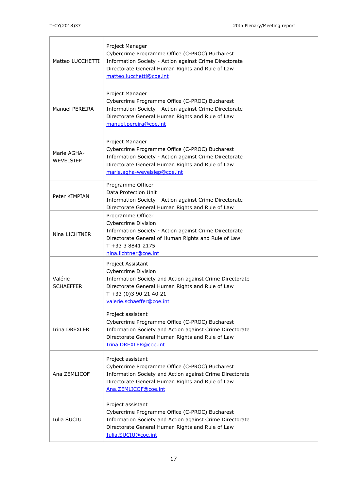| Matteo LUCCHETTI            | Project Manager<br>Cybercrime Programme Office (C-PROC) Bucharest<br>Information Society - Action against Crime Directorate<br>Directorate General Human Rights and Rule of Law<br>matteo.lucchetti@coe.int            |
|-----------------------------|------------------------------------------------------------------------------------------------------------------------------------------------------------------------------------------------------------------------|
| <b>Manuel PEREIRA</b>       | Project Manager<br>Cybercrime Programme Office (C-PROC) Bucharest<br>Information Society - Action against Crime Directorate<br>Directorate General Human Rights and Rule of Law<br>manuel.pereira@coe.int              |
| Marie AGHA-<br>WEVELSIEP    | Project Manager<br>Cybercrime Programme Office (C-PROC) Bucharest<br>Information Society - Action against Crime Directorate<br>Directorate General Human Rights and Rule of Law<br>marie.agha-wevelsiep@coe.int        |
| Peter KIMPIAN               | Programme Officer<br>Data Protection Unit<br>Information Society - Action against Crime Directorate<br>Directorate General Human Rights and Rule of Law                                                                |
| Nina LICHTNER               | Programme Officer<br><b>Cybercrime Division</b><br>Information Society - Action against Crime Directorate<br>Directorate General of Human Rights and Rule of Law<br>T +33 3 8841 2175<br>nina.lichtner@coe.int         |
| Valérie<br><b>SCHAEFFER</b> | Project Assistant<br><b>Cybercrime Division</b><br>Information Society and Action against Crime Directorate<br>Directorate General Human Rights and Rule of Law<br>T +33 (0)3 90 21 40 21<br>valerie.schaeffer@coe.int |
| Irina DREXLER               | Project assistant<br>Cybercrime Programme Office (C-PROC) Bucharest<br>Information Society and Action against Crime Directorate<br>Directorate General Human Rights and Rule of Law<br>Irina.DREXLER@coe.int           |
| Ana ZEMLICOF                | Project assistant<br>Cybercrime Programme Office (C-PROC) Bucharest<br>Information Society and Action against Crime Directorate<br>Directorate General Human Rights and Rule of Law<br>Ana.ZEMLICOF@coe.int            |
| Iulia SUCIU                 | Project assistant<br>Cybercrime Programme Office (C-PROC) Bucharest<br>Information Society and Action against Crime Directorate<br>Directorate General Human Rights and Rule of Law<br>Iulia.SUCIU@coe.int             |